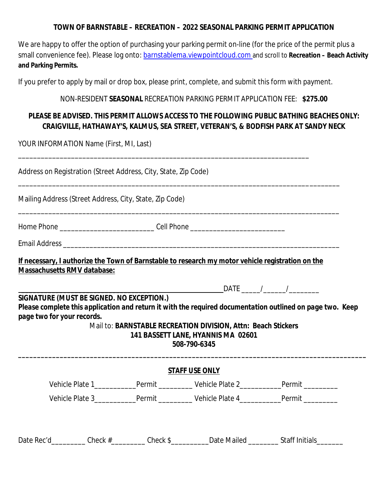#### **TOWN OF BARNSTABLE – RECREATION – 2022 SEASONAL PARKING PERMIT APPLICATION**

We are happy to offer the option of purchasing your parking permit on-line (for the price of the permit plus a small convenience fee). Please log onto: barnstablema.viewpointcloud.com and scroll to **Recreation – Beach Activity and Parking Permits.**

If you prefer to apply by mail or drop box, please print, complete, and submit this form with payment.

\_\_\_\_\_\_\_\_\_\_\_\_\_\_\_\_\_\_\_\_\_\_\_\_\_\_\_\_\_\_\_\_\_\_\_\_\_\_\_\_\_\_\_\_\_\_\_\_\_\_\_\_\_\_\_\_\_\_\_\_\_\_\_\_\_\_\_\_\_\_\_\_\_\_\_\_\_

#### NON-RESIDENT **SEASONAL** RECREATION PARKING PERMIT APPLICATION FEE: **\$275.00**

### *PLEASE BE ADVISED. THIS PERMIT ALLOWS ACCESS TO THE FOLLOWING PUBLIC BATHING BEACHES ONLY: CRAIGVILLE, HATHAWAY'S, KALMUS, SEA STREET, VETERAN'S, & BODFISH PARK AT SANDY NECK*

YOUR INFORMATION Name (First, MI, Last)

| Address on Registration (Street Address, City, State, Zip Code) |  |
|-----------------------------------------------------------------|--|
|                                                                 |  |

Mailing Address (Street Address, City, State, Zip Code)

Home Phone \_\_\_\_\_\_\_\_\_\_\_\_\_\_\_\_\_\_\_\_\_\_\_\_\_ Cell Phone \_\_\_\_\_\_\_\_\_\_\_\_\_\_\_\_\_\_\_\_\_\_\_\_\_

Email Address \_\_\_\_\_\_\_\_\_\_\_\_\_\_\_\_\_\_\_\_\_\_\_\_\_\_\_\_\_\_\_\_\_\_\_\_\_\_\_\_\_\_\_\_\_\_\_\_\_\_\_\_\_\_\_\_\_\_\_\_\_\_\_\_\_\_\_\_\_\_\_\_\_

**If necessary, I authorize the Town of Barnstable to research my motor vehicle registration on the Massachusetts RMV database:**

\_\_\_\_\_\_\_\_\_\_\_\_\_\_\_\_\_\_\_\_\_\_\_\_\_\_\_\_\_\_\_\_\_\_\_\_\_\_\_\_\_\_\_\_\_\_\_\_\_\_\_\_\_\_\_\_\_\_\_\_\_\_\_\_\_\_\_\_\_\_\_\_\_\_\_\_\_\_\_\_\_\_\_\_\_

**\_\_\_\_\_\_\_\_\_\_\_\_\_\_\_\_\_\_\_\_\_\_\_\_\_\_\_\_\_\_\_\_\_\_** DATE \_\_\_\_\_/\_\_\_\_\_\_/\_\_\_\_\_\_\_\_

#### *SIGNATURE (MUST BE SIGNED. NO EXCEPTION.)*

*Please complete this application and return it with the required documentation outlined on page two. Keep page two for your records.*

#### Mail to: **BARNSTABLE RECREATION DIVISION, Attn: Beach Stickers 141 BASSETT LANE, HYANNIS MA 02601 508-790-6345**

**\_\_\_\_\_\_\_\_\_\_\_\_\_\_\_\_\_\_\_\_\_\_\_\_\_\_\_\_\_\_\_\_\_\_\_\_\_\_\_\_\_\_\_\_\_\_\_\_\_\_\_\_\_\_\_\_\_\_\_\_\_\_\_\_\_\_\_\_\_\_\_\_\_\_\_\_\_\_\_\_\_\_\_\_\_\_\_\_\_\_\_\_**

|                 |        | <b>STAFF USE ONLY</b> |        |
|-----------------|--------|-----------------------|--------|
| Vehicle Plate 1 | Permit | Vehicle Plate 2       | Permit |
| Vehicle Plate 3 | Permit | Vehicle Plate 4       | Permit |

Date Rec'd\_\_\_\_\_\_\_\_\_\_ Check #\_\_\_\_\_\_\_\_\_ Check \$\_\_\_\_\_\_\_\_\_ Date Mailed \_\_\_\_\_\_\_\_ Staff Initials\_\_\_\_\_\_\_